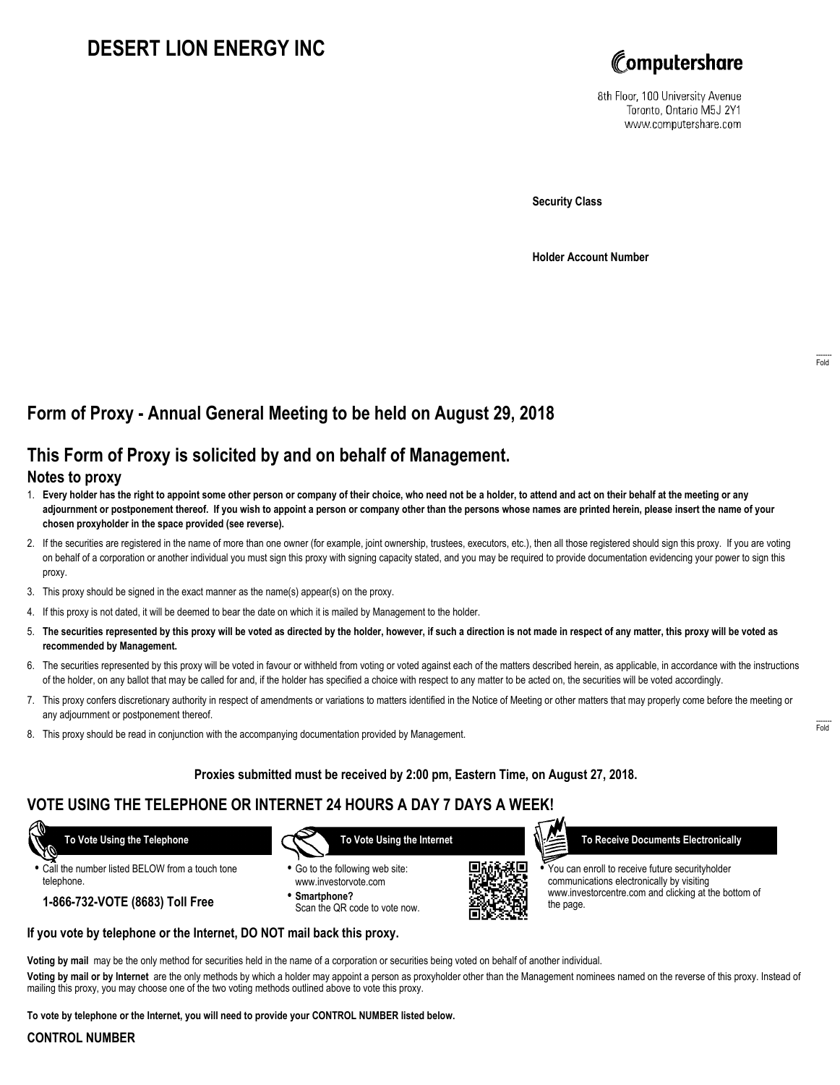# **DESERT LION ENERGY INC**



8th Floor, 100 University Avenue Toronto, Ontario M5J 2Y1 www.computershare.com

**Security Class**

**Holder Account Number**

# **Form of Proxy - Annual General Meeting to be held on August 29, 2018**

# **This Form of Proxy is solicited by and on behalf of Management.**

### **Notes to proxy**

- 1. **Every holder has the right to appoint some other person or company of their choice, who need not be a holder, to attend and act on their behalf at the meeting or any adjournment or postponement thereof. If you wish to appoint a person or company other than the persons whose names are printed herein, please insert the name of your chosen proxyholder in the space provided (see reverse).**
- 2. If the securities are registered in the name of more than one owner (for example, joint ownership, trustees, executors, etc.), then all those registered should sign this proxy. If you are voting on behalf of a corporation or another individual you must sign this proxy with signing capacity stated, and you may be required to provide documentation evidencing your power to sign this proxy.
- 3. This proxy should be signed in the exact manner as the name(s) appear(s) on the proxy.
- 4. If this proxy is not dated, it will be deemed to bear the date on which it is mailed by Management to the holder.
- 5. **The securities represented by this proxy will be voted as directed by the holder, however, if such a direction is not made in respect of any matter, this proxy will be voted as recommended by Management.**
- 6. The securities represented by this proxy will be voted in favour or withheld from voting or voted against each of the matters described herein, as applicable, in accordance with the instructions of the holder, on any ballot that may be called for and, if the holder has specified a choice with respect to any matter to be acted on, the securities will be voted accordingly.
- 7. This proxy confers discretionary authority in respect of amendments or variations to matters identified in the Notice of Meeting or other matters that may properly come before the meeting or any adjournment or postponement thereof.
- 8. This proxy should be read in conjunction with the accompanying documentation provided by Management.

#### **Proxies submitted must be received by 2:00 pm, Eastern Time, on August 27, 2018.**

## **VOTE USING THE TELEPHONE OR INTERNET 24 HOURS A DAY 7 DAYS A WEEK!**

 **To Vote Using the Telephone**

- **•** Call the number listed BELOW from a touch tone telephone.
	- **1-866-732-VOTE (8683) Toll Free**



- **•** Go to the following web site: www.investorvote.com
- **• Smartphone?** Scan the QR code to vote now.



 **To Receive Documents Electronically**

**•** You can enroll to receive future securityholder communications electronically by visiting www.investorcentre.com and clicking at the bottom of the page.

#### **If you vote by telephone or the Internet, DO NOT mail back this proxy.**

**Voting by mail** may be the only method for securities held in the name of a corporation or securities being voted on behalf of another individual.

**Voting by mail or by Internet** are the only methods by which a holder may appoint a person as proxyholder other than the Management nominees named on the reverse of this proxy. Instead of mailing this proxy, you may choose one of the two voting methods outlined above to vote this proxy.

**To vote by telephone or the Internet, you will need to provide your CONTROL NUMBER listed below.**

#### **CONTROL NUMBER**